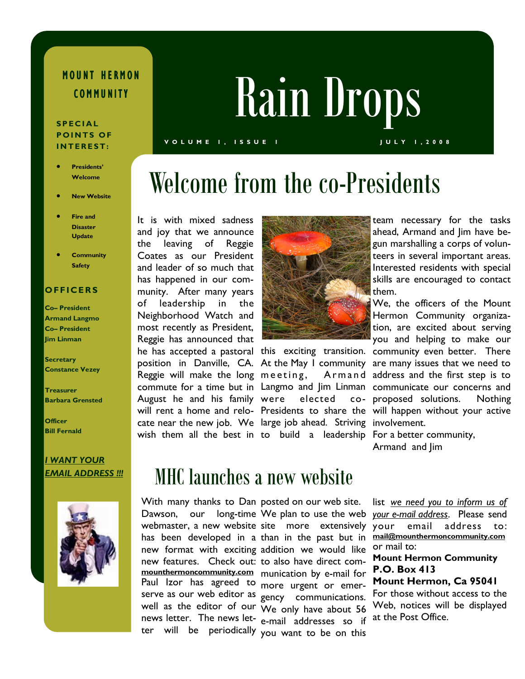# MOUNT HERMON

### S P E C I A L POINTS OF INTEREST:

- Presidents' **Welcome**
- New Website
- Fire and **Disaster Update**
- **Community Safety**

### **OFFICERS**

Co– President Armand Langmo Co– President Jim Linman

**Secretary** Constance Vezey

Treasurer Barbara Grensted

**Officer** Bill Fernald

## I WANT YOUR



# COMMUNITY Rain Drops

#### V O L U M E 1, ISSUE I JULY 1, 2008

# Welcome from the co-Presidents

cate near the new job. We large job ahead. Striving involvement. wish them all the best in to build a leadership For a better community, It is with mixed sadness and joy that we announce the leaving of Reggie Coates as our President and leader of so much that has happened in our community. After many years of leadership in the Neighborhood Watch and most recently as President, Reggie has announced that Reggie will make the long meeting, Armand August he and his family



elected co-

team necessary for the tasks ahead, Armand and Jim have begun marshalling a corps of volunteers in several important areas. Interested residents with special skills are encouraged to contact them.

We, the officers of the Mount Hermon Community organization, are excited about serving you and helping to make our he has accepted a pastoral this exciting transition. community even better. There position in Danville, CA. At the May I community are many issues that we need to Armand address and the first step is to commute for a time but in Langmo and Jim Linman communicate our concerns and proposed solutions. Nothing will rent a home and relo- Presidents to share the will happen without your active

Armand and Jim

### EMAIL ADDRESS !!! MHC launches a new website

With many thanks to Dan posted on our web site. Dawson, our long-time We plan to use the web webmaster, a new website site more extensively has been developed in a than in the past but in new format with exciting addition we would like new features. Check out: to also have direct commounthermoncommunity.com munication by e-mail for Paul Izor has agreed to more urgent or emerserve as our web editor as gency communications. well as the editor of our  $\overline{W}$ e only have about 56 news letter. The news let- e-mail addresses so if

ter will be periodically you want to be on this

list we need you to inform us of your e-mail address. Please send your email address to: mail@mounthermoncommunity.com or mail to:

### Mount Hermon Community P.O. Box 413

Mount Hermon, Ca 95041

For those without access to the Web, notices will be displayed at the Post Office.